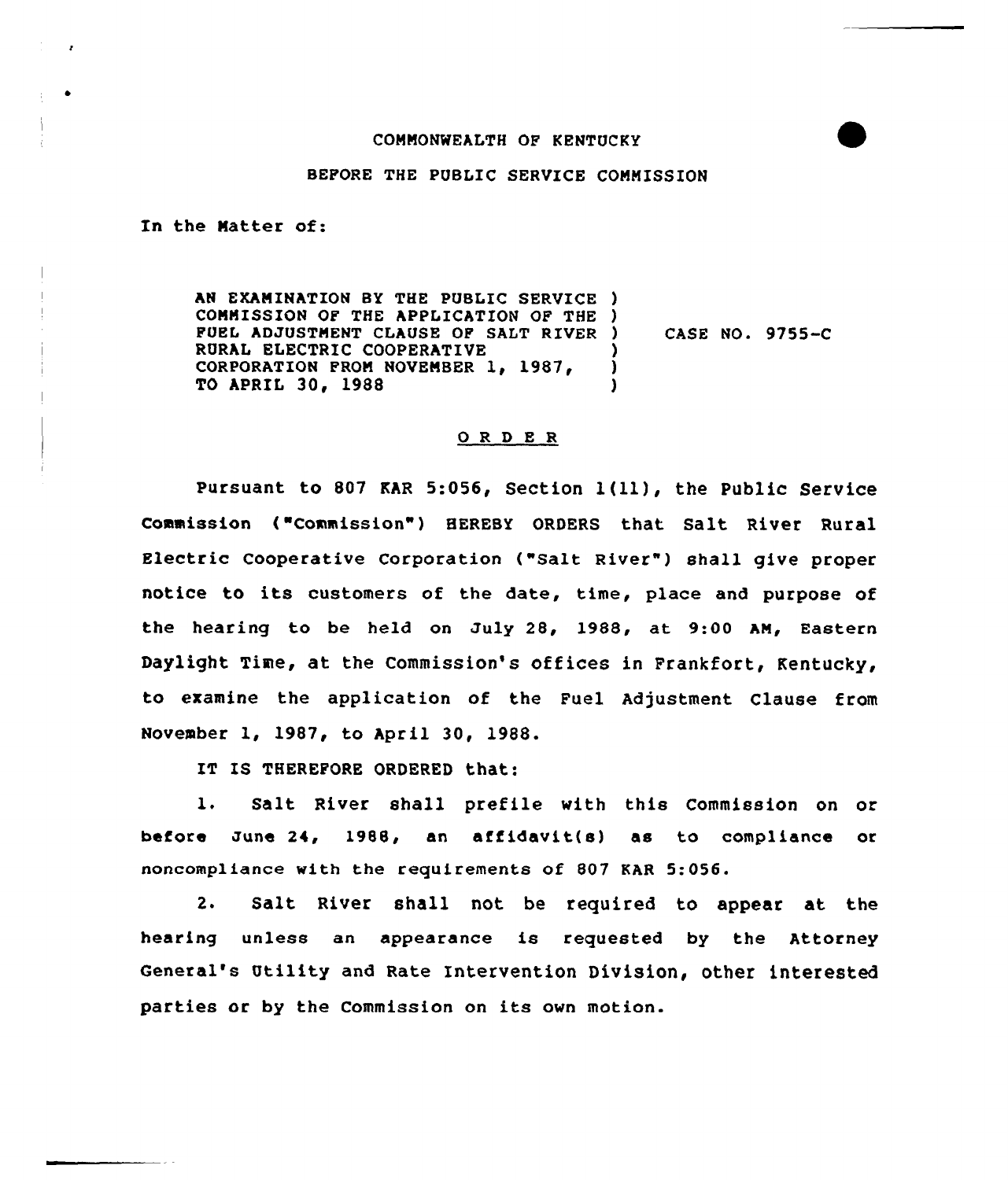## COMMONWEALTH OF KENTUCKY

## BEFORE THE PUBLIC SERVICE COMMISSION

In the Matter of:

AN EXAMINATION BY THE PUBLIC SERVICE ) COMMISSION OF THE APPLICATION OF THE  $)$ FUEL ADJUSTMENT CLAUSE OP SALT RIVER RURAL ELECTRIC COOPERATIVE CORPORATION FROM NOVEMBER 1, 1987, TO APRIL 30, 1988 ) CASE NO. 9755-C ) ) )

## ORDER

pursuant to <sup>807</sup> KAR 5:056, Section <sup>1</sup> (ll), the Public Service Commission ("Commission") HEREBY ORDERS that Salt River Rural Electric Cooperative Corporation ("Salt River" ) shall give proper notice to its customers of the date, time, place and purpose of the hearing to be held on Zuly 28, 1988, at 9:00 AM, Eastern Daylight Time, at the Commission's offices in Frankfort, Kentucky, to examine the application of the Fuel Adjustment Clause from November 1, 1987, to April 30, 1988.

IT IS THEREFORE ORDERED that:

1. Salt River shall prefile with this Commission on or before June 24, 1988, an affidavit(s) as to compliance or noncompliance with the requirements of 807 KAR 5:056.

2. Salt River shall not be required to appear at the hearing unless an appearance is requested by the Attorney General's Utility and Rate Intervention Division, other interested parties or by the Commission on its own motion.